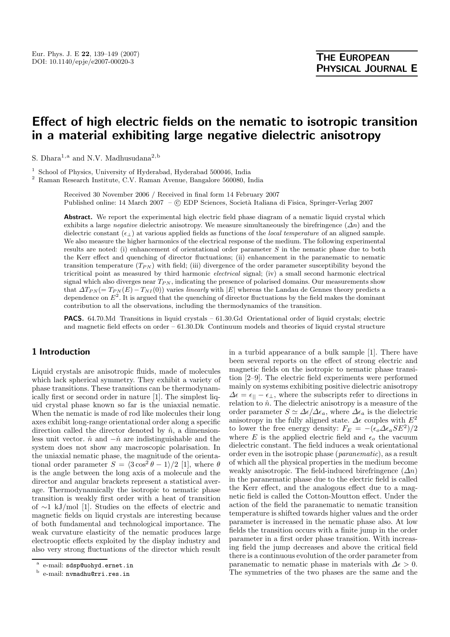# **Effect of high electric fields on the nematic to isotropic transition in a material exhibiting large negative dielectric anisotropy**

S. Dhara<sup>1,a</sup> and N.V. Madhusudana<sup>2,b</sup>

<sup>1</sup> School of Physics, University of Hyderabad, Hyderabad 500046, India

<sup>2</sup> Raman Research Institute, C.V. Raman Avenue, Bangalore 560080, India

Received 30 November 2006 / Received in final form 14 February 2007 Published online: 14 March 2007 – © EDP Sciences, Società Italiana di Fisica, Springer-Verlag 2007

Abstract. We report the experimental high electric field phase diagram of a nematic liquid crystal which exhibits a large *negative* dielectric anisotropy. We measure simultaneously the birefringence  $(\Delta n)$  and the dielectric constant  $(\epsilon_{\perp})$  at various applied fields as functions of the *local temperature* of an aligned sample. We also measure the higher harmonics of the electrical response of the medium. The following experimental results are noted: (i) enhancement of orientational order parameter S in the nematic phase due to both the Kerr effect and quenching of director fluctuations; (ii) enhancement in the paranematic to nematic transition temperature  $(T_{PN})$  with field; (iii) divergence of the order parameter susceptibility beyond the tricritical point as measured by third harmonic *electrical* signal; (iv) a small second harmonic electrical signal which also diverges near  $T_{PN}$ , indicating the presence of polarised domains. Our measurements show that  $\Delta T_{PN} = T_{PN}(E) - T_{NI}(0)$  varies *linearly* with  $|E|$  whereas the Landau de Gennes theory predicts a dependence on  $E^2$ . It is argued that the quenching of director fluctuations by the field makes the dominant contribution to all the observations, including the thermodynamics of the transition.

**PACS.** 64.70.Md Transitions in liquid crystals – 61.30.Gd Orientational order of liquid crystals; electric and magnetic field effects on order – 61.30.Dk Continuum models and theories of liquid crystal structure

# **1 Introduction**

Liquid crystals are anisotropic fluids, made of molecules which lack spherical symmetry. They exhibit a variety of phase transitions. These transitions can be thermodynamically first or second order in nature [1]. The simplest liquid crystal phase known so far is the uniaxial nematic. When the nematic is made of rod like molecules their long axes exhibit long-range orientational order along a specific direction called the director denoted by  $\hat{n}$ , a dimensionless unit vector.  $\hat{n}$  and  $-\hat{n}$  are indistinguishable and the system does not show any macroscopic polarisation. In the uniaxial nematic phase, the magnitude of the orientational order parameter  $S = \langle 3 \cos^2 \theta - 1 \rangle / 2$  [1], where  $\theta$ is the angle between the long axis of a molecule and the director and angular brackets represent a statistical average. Thermodynamically the isotropic to nematic phase transition is weakly first order with a heat of transition of ∼1 kJ/mol [1]. Studies on the effects of electric and magnetic fields on liquid crystals are interesting because of both fundamental and technological importance. The weak curvature elasticity of the nematic produces large electrooptic effects exploited by the display industry and also very strong fluctuations of the director which result

in a turbid appearance of a bulk sample [1]. There have been several reports on the effect of strong electric and magnetic fields on the isotropic to nematic phase transition [2–9]. The electric field experiments were performed mainly on systems exhibiting positive dielectric anisotropy  $\Delta \epsilon = \epsilon_{||} - \epsilon_{\perp}$ , where the subscripts refer to directions in relation to  $\hat{n}$ . The dielectric anisotropy is a measure of the order parameter  $S \simeq \Delta \epsilon / \Delta \epsilon_a$ , where  $\Delta \epsilon_a$  is the dielectric anisotropy in the fully aligned state.  $\varDelta \epsilon$  couples with  $E^2$ to lower the free energy density:  $F_E = -(\epsilon_o \Delta \epsilon_a SE^2)/2$ where E is the applied electric field and  $\epsilon_o$  the vacuum dielectric constant. The field induces a weak orientational order even in the isotropic phase (*paranematic*), as a result of which all the physical properties in the medium become weakly anisotropic. The field-induced birefringence  $(\Delta n)$ in the paranematic phase due to the electric field is called the Kerr effect, and the analogous effect due to a magnetic field is called the Cotton-Moutton effect. Under the action of the field the paranematic to nematic transition temperature is shifted towards higher values and the order parameter is increased in the nematic phase also. At low fields the transition occurs with a finite jump in the order parameter in a first order phase transition. With increasing field the jump decreases and above the critical field there is a continuous evolution of the order parameter from paranematic to nematic phase in materials with  $\Delta \epsilon > 0$ . The symmetries of the two phases are the same and the

<sup>&</sup>lt;sup>a</sup> e-mail:  $sdsp@uohyd.ernet.in$ 

e-mail: nvmadhu@rri.res.in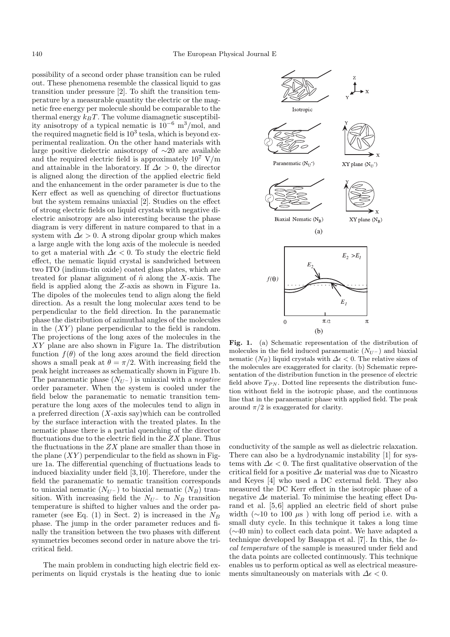possibility of a second order phase transition can be ruled out. These phenomena resemble the classical liquid to gas transition under pressure [2]. To shift the transition temperature by a measurable quantity the electric or the magnetic free energy per molecule should be comparable to the thermal energy  $k_BT$ . The volume diamagnetic susceptibility anisotropy of a typical nematic is  $10^{-6}$  m<sup>3</sup>/mol, and the required magnetic field is  $10^3$  tesla, which is beyond experimental realization. On the other hand materials with large positive dielectric anisotropy of ∼20 are available and the required electric field is approximately  $10^7$  V/m and attainable in the laboratory. If  $\Delta \epsilon > 0$ , the director is aligned along the direction of the applied electric field and the enhancement in the order parameter is due to the Kerr effect as well as quenching of director fluctuations but the system remains uniaxial [2]. Studies on the effect of strong electric fields on liquid crystals with negative dielectric anisotropy are also interesting because the phase diagram is very different in nature compared to that in a system with  $\Delta \epsilon > 0$ . A strong dipolar group which makes a large angle with the long axis of the molecule is needed to get a material with  $\Delta \epsilon < 0$ . To study the electric field effect, the nematic liquid crystal is sandwiched between two ITO (indium-tin oxide) coated glass plates, which are treated for planar alignment of  $\hat{n}$  along the X-axis. The field is applied along the Z-axis as shown in Figure 1a. The dipoles of the molecules tend to align along the field direction. As a result the long molecular axes tend to be perpendicular to the field direction. In the paranematic phase the distribution of azimuthal angles of the molecules in the  $(XY)$  plane perpendicular to the field is random. The projections of the long axes of the molecules in the XY plane are also shown in Figure 1a. The distribution function  $f(\theta)$  of the long axes around the field direction shows a small peak at  $\theta = \pi/2$ . With increasing field the peak height increases as schematically shown in Figure 1b. The paranematic phase  $(N_{U^-})$  is uniaxial with a *negative* order parameter. When the system is cooled under the field below the paranematic to nematic transition temperature the long axes of the molecules tend to align in a preferred direction  $(X$ -axis say)which can be controlled by the surface interaction with the treated plates. In the nematic phase there is a partial quenching of the director fluctuations due to the electric field in the  $ZX$  plane. Thus the fluctuations in the  $ZX$  plane are smaller than those in the plane  $(XY)$  perpendicular to the field as shown in Figure 1a. The differential quenching of fluctuations leads to induced biaxiality under field [3,10]. Therefore, under the field the paranematic to nematic transition corresponds to uniaxial nematic  $(N_{U^-})$  to biaxial nematic  $(N_B)$  transition. With increasing field the  $N_{U^-}$  to  $N_B$  transition temperature is shifted to higher values and the order parameter (see Eq. (1) in Sect. 2) is increased in the  $N_B$ phase. The jump in the order parameter reduces and finally the transition between the two phases with different symmetries becomes second order in nature above the tricritical field.

The main problem in conducting high electric field experiments on liquid crystals is the heating due to ionic



**Fig. 1.** (a) Schematic representation of the distribution of molecules in the field induced paranematic  $(N_{U^-})$  and biaxial nematic  $(N_B)$  liquid crystals with  $\Delta \epsilon < 0$ . The relative sizes of the molecules are exaggerated for clarity. (b) Schematic representation of the distribution function in the presence of electric field above  $T_{PN}$ . Dotted line represents the distribution function without field in the isotropic phase, and the continuous line that in the paranematic phase with applied field. The peak around  $\pi/2$  is exaggerated for clarity.

conductivity of the sample as well as dielectric relaxation. There can also be a hydrodynamic instability [1] for systems with  $\Delta \epsilon < 0$ . The first qualitative observation of the critical field for a positive  $\Delta \epsilon$  material was due to Nicastro and Keyes [4] who used a DC external field. They also measured the DC Kerr effect in the isotropic phase of a negative  $\Delta \epsilon$  material. To minimise the heating effect Durand et al. [5,6] applied an electric field of short pulse width ( $\sim$ 10 to 100  $\mu$ s) with long off period i.e. with a small duty cycle. In this technique it takes a long time (∼40 min) to collect each data point. We have adapted a technique developed by Basappa et al. [7]. In this, the *local temperature* of the sample is measured under field and the data points are collected continuously. This technique enables us to perform optical as well as electrical measurements simultaneously on materials with  $\Delta \epsilon < 0$ .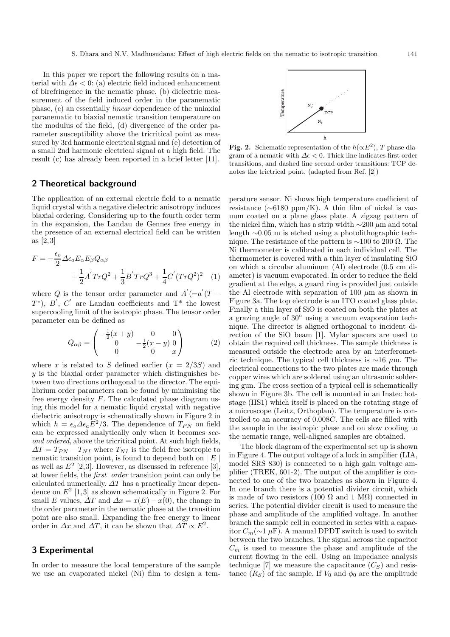In this paper we report the following results on a material with  $\Delta \epsilon < 0$ : (a) electric field induced enhancement of birefringence in the nematic phase, (b) dielectric measurement of the field induced order in the paranematic phase, (c) an essentially *linear* dependence of the uniaxial paranematic to biaxial nematic transition temperature on the modulus of the field, (d) divergence of the order parameter susceptibility above the tricritical point as measured by 3rd harmonic electrical signal and (e) detection of a small 2nd harmonic electrical signal at a high field. The result (c) has already been reported in a brief letter [11].

## **2 Theoretical background**

The application of an external electric field to a nematic liquid crystal with a negative dielectric anisotropy induces biaxial ordering. Considering up to the fourth order term in the expansion, the Landau de Gennes free energy in the presence of an external electrical field can be written as [2,3]

$$
F = -\frac{\epsilon_o}{2} \Delta \epsilon_a E_\alpha E_\beta Q_{\alpha\beta} + \frac{1}{2} A' Tr Q^2 + \frac{1}{3} B' Tr Q^3 + \frac{1}{4} C' (Tr Q^2)^2 \quad (1)
$$

where Q is the tensor order parameter and  $A^{'}(=a^{'}(T T^*$ ),  $B'$ ,  $C'$  are Landau coefficients and  $T^*$  the lowest supercooling limit of the isotropic phase. The tensor order parameter can be defined as

$$
Q_{\alpha\beta} = \begin{pmatrix} -\frac{1}{2}(x+y) & 0 & 0\\ 0 & -\frac{1}{2}(x-y) & 0\\ 0 & 0 & x \end{pmatrix}
$$
 (2)

where x is related to S defined earlier  $(x = 2/3S)$  and  $y$  is the biaxial order parameter which distinguishes between two directions orthogonal to the director. The equilibrium order parameters can be found by minimising the free energy density  $F$ . The calculated phase diagram using this model for a nematic liquid crystal with negative dielectric anisotropy is schematically shown in Figure 2 in which  $h = \epsilon_o \Delta \epsilon_a E^2 / 3$ . The dependence of  $T_{PN}$  on field can be expressed analytically only when it becomes *second ordered*, above the tricritical point. At such high fields,  $\Delta T = T_{PN} - T_{NI}$  where  $T_{NI}$  is the field free isotropic to nematic transition point, is found to depend both on  $|E|$ as well as  $E^2$  [2,3]. However, as discussed in reference [3], at lower fields, the *first order* transition point can only be calculated numerically.  $\Delta T$  has a practically linear dependence on  $E^2$  [1,3] as shown schematically in Figure 2. For small E values,  $\Delta T$  and  $\Delta x = x(E) - x(0)$ , the change in the order parameter in the nematic phase at the transition point are also small. Expanding the free energy to linear order in  $\Delta x$  and  $\Delta T$ , it can be shown that  $\Delta T \propto E^2$ .

# **3 Experimental**

In order to measure the local temperature of the sample we use an evaporated nickel (Ni) film to design a tem-



**Fig. 2.** Schematic representation of the  $h(\propto E^2)$ , T phase diagram of a nematic with  $\Delta \epsilon < 0$ . Thick line indicates first order transitions, and dashed line second order transitions: TCP denotes the trictrical point. (adapted from Ref. [2])

perature sensor. Ni shows high temperature coefficient of resistance (∼6180 ppm/K). A thin film of nickel is vacuum coated on a plane glass plate. A zigzag pattern of the nickel film, which has a strip width  $\sim$ 200 µm and total length ∼0.05 m is etched using a photolithographic technique. The resistance of the pattern is  $\sim$ 100 to 200 Ω. The Ni thermometer is calibrated in each individual cell. The thermometer is covered with a thin layer of insulating SiO on which a circular aluminum (Al) electrode (0.5 cm diameter) is vacuum evaporated. In order to reduce the field gradient at the edge, a guard ring is provided just outside the Al electrode with separation of 100  $\mu$ m as shown in Figure 3a. The top electrode is an ITO coated glass plate. Finally a thin layer of SiO is coated on both the plates at a grazing angle of 30◦ using a vacuum evaporation technique. The director is aligned orthogonal to incident direction of the SiO beam [1]. Mylar spacers are used to obtain the required cell thickness. The sample thickness is measured outside the electrode area by an interferometric technique. The typical cell thickness is  $\sim$ 16 µm. The electrical connections to the two plates are made through copper wires which are soldered using an ultrasonic soldering gun. The cross section of a typical cell is schematically shown in Figure 3b. The cell is mounted in an Instec hotstage (HS1) which itself is placed on the rotating stage of a microscope (Leitz, Orthoplan). The temperature is controlled to an accuracy of 0.008C. The cells are filled with the sample in the isotropic phase and on slow cooling to the nematic range, well-aligned samples are obtained.

The block diagram of the experimental set up is shown in Figure 4. The output voltage of a lock in amplifier (LIA, model SRS 830) is connected to a high gain voltage amplifier (TREK, 601-2). The output of the amplifier is connected to one of the two branches as shown in Figure 4. In one branch there is a potential divider circuit, which is made of two resistors (100  $\Omega$  and 1 M $\Omega$ ) connected in series. The potential divider circuit is used to measure the phase and amplitude of the amplified voltage. In another branch the sample cell in connected in series with a capacitor <sup>C</sup>m(∼<sup>1</sup> <sup>µ</sup>F). A manual DPDT switch is used to switch between the two branches. The signal across the capacitor  $C_m$  is used to measure the phase and amplitude of the current flowing in the cell. Using an impedance analysis technique [7] we measure the capacitance  $(C_S)$  and resistance  $(R<sub>S</sub>)$  of the sample. If  $V<sub>0</sub>$  and  $\phi<sub>0</sub>$  are the amplitude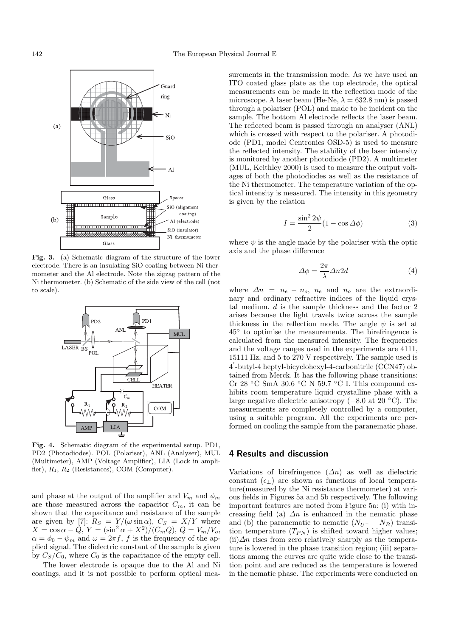

Fig. 3. (a) Schematic diagram of the structure of the lower electrode. There is an insulating SiO coating between Ni thermometer and the Al electrode. Note the zigzag pattern of the Ni thermometer. (b) Schematic of the side view of the cell (not to scale).



**Fig. 4.** Schematic diagram of the experimental setup. PD1, PD2 (Photodiodes). POL (Polariser), ANL (Analyser), MUL (Multimeter), AMP (Voltage Amplifier), LIA (Lock in amplifier),  $R_1, R_2$  (Resistances), COM (Computer).

and phase at the output of the amplifier and  $V_m$  and  $\phi_m$ are those measured across the capacitor  $C_m$ , it can be shown that the capacitance and resistance of the sample are given by [7]:  $R_S = Y/(\omega \sin \alpha)$ ,  $C_S = X/Y$  where  $X = \cos \alpha - Q, Y = (\sin^2 \alpha + X^2)/(C_m Q), Q = V_m/V_o,$  $\alpha = \phi_0 - \psi_m$  and  $\omega = 2\pi f$ , f is the frequency of the applied signal. The dielectric constant of the sample is given by  $C_S/C_0$ , where  $C_0$  is the capacitance of the empty cell.

The lower electrode is opaque due to the Al and Ni coatings, and it is not possible to perform optical measurements in the transmission mode. As we have used an ITO coated glass plate as the top electrode, the optical measurements can be made in the reflection mode of the microscope. A laser beam (He-Ne,  $\lambda = 632.8$  nm) is passed through a polariser (POL) and made to be incident on the sample. The bottom Al electrode reflects the laser beam. The reflected beam is passed through an analyser (ANL) which is crossed with respect to the polariser. A photodiode (PD1, model Centronics OSD-5) is used to measure the reflected intensity. The stability of the laser intensity is monitored by another photodiode (PD2). A multimeter (MUL, Keithley 2000) is used to measure the output voltages of both the photodiodes as well as the resistance of the Ni thermometer. The temperature variation of the optical intensity is measured. The intensity in this geometry is given by the relation

$$
I = \frac{\sin^2 2\psi}{2} (1 - \cos \Delta \phi)
$$
 (3)

where  $\psi$  is the angle made by the polariser with the optic axis and the phase difference

$$
\Delta \phi = \frac{2\pi}{\lambda} \Delta n 2d \tag{4}
$$

where  $\Delta n = n_e - n_o$ ,  $n_e$  and  $n_o$  are the extraordinary and ordinary refractive indices of the liquid crystal medium. d is the sample thickness and the factor 2 arises because the light travels twice across the sample thickness in the reflection mode. The angle  $\psi$  is set at 45◦ to optimise the measurements. The birefringence is calculated from the measured intensity. The frequencies and the voltage ranges used in the experiments are 4111, 15111 Hz, and 5 to 270 V respectively. The sample used is 4 -butyl-4 heptyl-bicyclohexyl-4-carbonitrile (CCN47) obtained from Merck. It has the following phase transitions: Cr 28  $\degree$ C SmA 30.6  $\degree$ C N 59.7  $\degree$ C I. This compound exhibits room temperature liquid crystalline phase with a large negative dielectric anisotropy (−8.0 at 20 ◦C). The measurements are completely controlled by a computer, using a suitable program. All the experiments are performed on cooling the sample from the paranematic phase.

# **4 Results and discussion**

Variations of birefringence  $(\Delta n)$  as well as dielectric constant  $(\epsilon_{\perp})$  are shown as functions of local temperature(measured by the Ni resistance thermometer) at various fields in Figures 5a and 5b respectively. The following important features are noted from Figure 5a: (i) with increasing field (a)  $\Delta n$  is enhanced in the nematic phase and (b) the paranematic to nematic  $(N_{U^-} - N_B)$  transition temperature  $(T_{PN})$  is shifted toward higher values;  $(ii)\Delta n$  rises from zero relatively sharply as the temperature is lowered in the phase transition region; (iii) separations among the curves are quite wide close to the transition point and are reduced as the temperature is lowered in the nematic phase. The experiments were conducted on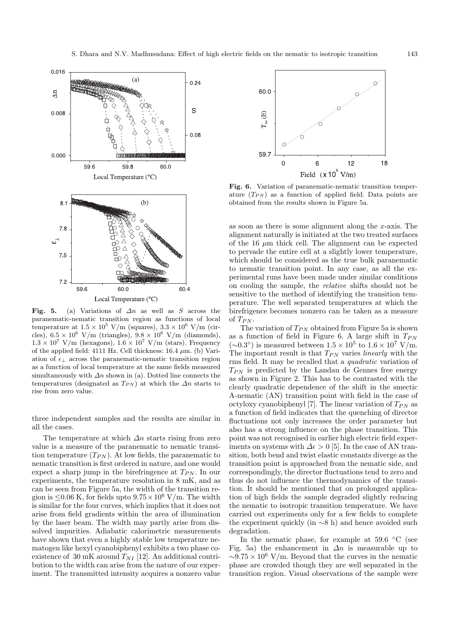

Fig. 5. (a) Variations of  $\Delta n$  as well as S across the paranematic-nematic transition region as functions of local temperature at  $1.5 \times 10^5$  V/m (squares),  $3.3 \times 10^6$  V/m (circles),  $6.5 \times 10^6$  V/m (triangles),  $9.8 \times 10^6$  V/m (diamonds),  $1.3 \times 10^7$  V/m (hexagons),  $1.6 \times 10^7$  V/m (stars). Frequency of the applied field: 4111 Hz. Cell thickness:  $16.4 \mu m$ . (b) Variation of  $\epsilon_{\perp}$  across the paranematic-nematic transition region as a function of local temperature at the same fields measured simultaneously with  $\Delta n$  shown in (a). Dotted line connects the temperatures (designated as  $T_{PN}$ ) at which the  $\Delta n$  starts to rise from zero value.

three independent samples and the results are similar in all the cases.

The temperature at which  $\Delta n$  starts rising from zero value is a measure of the paranematic to nematic transition temperature  $(T_{PN})$ . At low fields, the paranematic to nematic transition is first ordered in nature, and one would expect a sharp jump in the birefringence at  $T_{PN}$ . In our experiments, the temperature resolution in 8 mK, and as can be seen from Figure 5a, the width of the transition region is  $\leq 0.06$  K, for fields upto  $9.75 \times 10^6$  V/m. The width is similar for the four curves, which implies that it does not arise from field gradients within the area of illumination by the laser beam. The width may partly arise from dissolved impurities. Adiabatic calorimetric measurements have shown that even a highly stable low temperature nematogen like hexyl cyanobiphenyl exhibits a two phase coexistence of 30 mK around  $T_{NI}$  [12]. An additional contribution to the width can arise from the nature of our experiment. The transmitted intensity acquires a nonzero value



**Fig. 6.** Variation of paranematic-nematic transition temperature  $(T_{PN})$  as a function of applied field. Data points are obtained from the results shown in Figure 5a.

as soon as there is some alignment along the x-axis. The alignment naturally is initiated at the two treated surfaces of the 16  $\mu$ m thick cell. The alignment can be expected to pervade the entire cell at a slightly lower temperature, which should be considered as the true bulk paranematic to nematic transition point. In any case, as all the experimental runs have been made under similar conditions on cooling the sample, the *relative* shifts should not be sensitive to the method of identifying the transition temperature. The well separated temperatures at which the birefrigence becomes nonzero can be taken as a measure of  $T_{PN}$ .

The variation of  $T_{PN}$  obtained from Figure 5a is shown as a function of field in Figure 6. A large shift in  $T_{PN}$  $(\sim 0.3^{\circ})$  is measured between  $1.5 \times 10^5$  to  $1.6 \times 10^7$  V/m. The important result is that  $T_{PN}$  varies *linearly* with the rms field. It may be recalled that a *quadratic* variation of  $T_{PN}$  is predicted by the Landau de Gennes free energy as shown in Figure 2. This has to be contrasted with the clearly quadratic dependence of the shift in the smectic A-nematic (AN) transition point with field in the case of octyloxy cyanobiphenyl [7]. The linear variation of  $T_{PN}$  as a function of field indicates that the quenching of director fluctuations not only increases the order parameter but also has a strong influence on the phase transition. This point was not recognised in earlier high electric field experiments on systems with  $\Delta \epsilon > 0$  [5]. In the case of AN transition, both bend and twist elastic constants diverge as the transition point is approached from the nematic side, and correspondingly, the director fluctuations tend to zero and thus do not influence the thermodynamics of the transition. It should be mentioned that on prolonged application of high fields the sample degraded slightly reducing the nematic to isotropic transition temperature. We have carried out experiments only for a few fields to complete the experiment quickly (in ∼8 h) and hence avoided such degradation.

In the nematic phase, for example at 59.6  $°C$  (see Fig. 5a) the enhancement in  $\Delta n$  is measurable up to  $\sim 9.75 \times 10^6$  V/m. Beyond that the curves in the nematic phase are crowded though they are well separated in the transition region. Visual observations of the sample were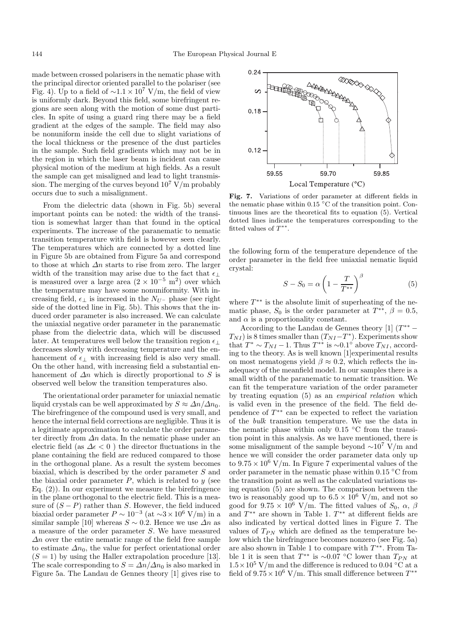made between crossed polarisers in the nematic phase with the principal director oriented parallel to the polariser (see Fig. 4). Up to a field of  $\sim$ 1.1 × 10<sup>7</sup> V/m, the field of view is uniformly dark. Beyond this field, some birefringent regions are seen along with the motion of some dust particles. In spite of using a guard ring there may be a field gradient at the edges of the sample. The field may also be nonuniform inside the cell due to slight variations of the local thickness or the presence of the dust particles in the sample. Such field gradients which may not be in the region in which the laser beam is incident can cause physical motion of the medium at high fields. As a result the sample can get misaligned and lead to light transmission. The merging of the curves beyond  $10^7$  V/m probably occurs due to such a misalignment.

From the dielectric data (shown in Fig. 5b) several important points can be noted: the width of the transition is somewhat larger than that found in the optical experiments. The increase of the paranematic to nematic transition temperature with field is however seen clearly. The temperatures which are connected by a dotted line in Figure 5b are obtained from Figure 5a and correspond to those at which  $\Delta n$  starts to rise from zero. The larger width of the transition may arise due to the fact that  $\epsilon_{\perp}$ is measured over a large area  $(2 \times 10^{-5} \text{ m}^2)$  over which the temperature may have some nonuniformity. With increasing field,  $\epsilon_{\perp}$  is increased in the  $N_{U^-}$  phase (see right side of the dotted line in Fig. 5b). This shows that the induced order parameter is also increased. We can calculate the uniaxial negative order parameter in the paranematic phase from the dielectric data, which will be discussed later. At temperatures well below the transition region  $\epsilon_{\perp}$ decreases slowly with decreasing temperature and the enhancement of  $\epsilon_{\perp}$  with increasing field is also very small. On the other hand, with increasing field a substantial enhancement of  $\Delta n$  which is directly proportional to S is observed well below the transition temperatures also.

The orientational order parameter for uniaxial nematic liquid crystals can be well approximated by  $S \approx \Delta n / \Delta n_0$ . The birefringence of the compound used is very small, and hence the internal field corrections are negligible. Thus it is a legitimate approximation to calculate the order parameter directly from  $\Delta n$  data. In the nematic phase under an electric field (as  $\Delta \epsilon < 0$ ) the director fluctuations in the plane containing the field are reduced compared to those in the orthogonal plane. As a result the system becomes biaxial, which is described by the order parameter S and the biaxial order parameter  $P$ , which is related to  $y$  (see Eq.  $(2)$ ). In our experiment we measure the birefringence in the plane orthogonal to the electric field. This is a measure of  $(S - P)$  rather than S. However, the field induced biaxial order parameter  $P \sim 10^{-3}$  (at ~3 × 10<sup>6</sup> V/m) in a similar sample [10] whereas  $S \sim 0.2$ . Hence we use  $\Delta n$  as a measure of the order parameter S. We have measured  $\Delta n$  over the entire nematic range of the field free sample to estimate  $\Delta n_0$ , the value for perfect orientational order  $(S = 1)$  by using the Haller extrapolation procedure [13]. The scale corresponding to  $S = \Delta n / \Delta n_0$  is also marked in Figure 5a. The Landau de Gennes theory [1] gives rise to



**Fig. 7.** Variations of order parameter at different fields in the nematic phase within 0.15  $^{\circ}$ C of the transition point. Continuous lines are the theoretical fits to equation (5). Vertical dotted lines indicate the temperatures corresponding to the fitted values of  $T^{**}$ .

the following form of the temperature dependence of the order parameter in the field free uniaxial nematic liquid crystal:

$$
S - S_0 = \alpha \left( 1 - \frac{T}{T^{**}} \right)^{\beta} \tag{5}
$$

where  $T^{**}$  is the absolute limit of superheating of the nematic phase,  $S_0$  is the order parameter at  $T^{**}$ ,  $\beta = 0.5$ , and  $\alpha$  is a proportionality constant.

According to the Landau de Gennes theory [1]  $(T^{**} T_{NI}$ ) is 8 times smaller than  $(T_{NI}-T^*)$ . Experiments show that  $T^* \sim T_{NI} - 1$ . Thus  $T^{**}$  is ~0.1° above  $T_{NI}$ , according to the theory. As is well known [1]experimental results on most nematogens yield  $\beta \approx 0.2$ , which reflects the inadequacy of the meanfield model. In our samples there is a small width of the paranematic to nematic transition. We can fit the temperature variation of the order parameter by treating equation (5) as an *empirical relation* which is valid even in the presence of the field. The field dependence of  $T^{**}$  can be expected to reflect the variation of the *bulk* transition temperature. We use the data in the nematic phase within only 0.15  $°C$  from the transition point in this analysis. As we have mentioned, there is some misalignment of the sample beyond  $\sim 10^7$  V/m and hence we will consider the order parameter data only up to  $9.75 \times 10^6$  V/m. In Figure 7 experimental values of the order parameter in the nematic phase within 0.15 ◦C from the transition point as well as the calculated variations using equation (5) are shown. The comparison between the two is reasonably good up to  $6.5 \times 10^6$  V/m, and not so good for  $9.75 \times 10^6$  V/m. The fitted values of  $S_0$ ,  $\alpha$ ,  $\beta$ and  $T^{**}$  are shown in Table 1.  $T^{**}$  at different fields are also indicated by vertical dotted lines in Figure 7. The values of  $T_{PN}$  which are defined as the temperature below which the birefringence becomes nonzero (see Fig. 5a) are also shown in Table 1 to compare with  $T^{**}$ . From Table 1 it is seen that  $T^{**}$  is ~0.07 °C lower than  $T_{PN}$  at  $1.5\times10^5$  V/m and the difference is reduced to 0.04 °C at a field of  $9.75 \times 10^6$  V/m. This small difference between  $T^{**}$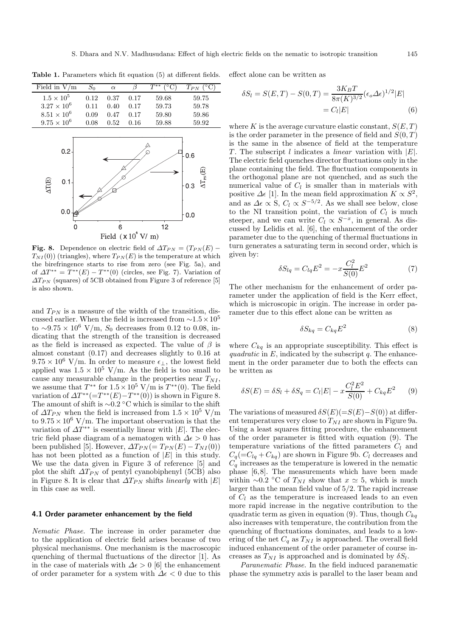| Field in $V/m$                             | $S_0$ | $\alpha$ | β    | $T^{**}$<br>$\rm ^{\circ}C)$ | $T_{PN}$ ( $\overline{C}$ )                                     |
|--------------------------------------------|-------|----------|------|------------------------------|-----------------------------------------------------------------|
| $1.5\times10^5$                            | 0.12  | 0.37     | 0.17 | 59.68                        | 59.75                                                           |
| $3.27\times10^6$                           | 0.11  | 0.40     | 0.17 | 59.73                        | 59.78                                                           |
| $8.51\times10^6$                           | 0.09  | 0.47     | 0.17 | 59.80                        | 59.86                                                           |
| $9.75 \times 10^{6}$                       | 0.08  | 0.52     | 0.16 | 59.88                        | 59.92                                                           |
| 0.2<br>AT <sub>(E)</sub><br>$0.1 -$<br>0.0 |       |          |      |                              | 0.6<br>$\Delta T_{\textrm{\tiny PN}}(\textrm{E})$<br>0.3<br>0.0 |
|                                            |       | 6        |      | 12                           |                                                                 |
| Field $(x 106 V/m)$                        |       |          |      |                              |                                                                 |

**Table 1.** Parameters which fit equation (5) at different fields.

**Fig. 8.** Dependence on electric field of  $\Delta T_{PN} = (T_{PN}(E) T_{NI}(0)$  (triangles), where  $T_{PN}(E)$  is the temperature at which the birefringence starts to rise from zero (see Fig. 5a), and of  $\Delta T^{**} = T^{**}(E) - T^{**}(0)$  (circles, see Fig. 7). Variation of  $\Delta T_{PN}$  (squares) of 5CB obtained from Figure 3 of reference [5] is also shown.

and  $T_{PN}$  is a measure of the width of the transition, discussed earlier. When the field is increased from  $\sim$ 1.5 × 10<sup>5</sup> to ~9.75 × 10<sup>6</sup> V/m,  $S_0$  decreases from 0.12 to 0.08, indicating that the strength of the transition is decreased as the field is increased as expected. The value of  $\beta$  is almost constant (0.17) and decreases slightly to 0.16 at  $9.75 \times 10^6$  V/m. In order to measure  $\epsilon_{\perp}$ , the lowest field applied was  $1.5 \times 10^5$  V/m. As the field is too small to cause any measurable change in the properties near  $T_{NI}$ , we assume that  $T^{**}$  for  $1.5 \times 10^5$  V/m is  $T^{**}(0)$ . The field variation of  $\Delta T^{**}(=T^{**}(E)-T^{**}(0))$  is shown in Figure 8. The amount of shift is  $\sim 0.2$  °C which is similar to the shift of  $\Delta T_{PN}$  when the field is increased from  $1.5 \times 10^5$  V/m to  $9.75 \times 10^6$  V/m. The important observation is that the variation of  $\Delta T^{**}$  is essentially linear with  $|E|$ . The electric field phase diagram of a nematogen with  $\Delta \epsilon > 0$  has been published [5]. However,  $\Delta T_{PN} (= T_{PN}(E) - T_{NI}(0))$ has not been plotted as a function of  $|E|$  in this study. We use the data given in Figure 3 of reference [5] and plot the shift  $\Delta T_{PN}$  of pentyl cyanobiphenyl (5CB) also in Figure 8. It is clear that  $\Delta T_{PN}$  shifts *linearly* with  $|E|$ in this case as well.

#### **4.1 Order parameter enhancement by the field**

*Nematic Phase.* The increase in order parameter due to the application of electric field arises because of two physical mechanisms. One mechanism is the macroscopic quenching of thermal fluctuations of the director [1]. As in the case of materials with  $\Delta \epsilon > 0$  [6] the enhancement of order parameter for a system with  $\Delta \epsilon < 0$  due to this

effect alone can be written as

$$
\delta S_l = S(E, T) - S(0, T) = \frac{3K_B T}{8\pi (K)^{3/2}} (\epsilon_o \Delta \epsilon)^{1/2} |E|
$$
  
=  $C_l |E|$  (6)

where K is the average curvature elastic constant,  $S(E,T)$ is the order parameter in the presence of field and  $S(0,T)$ is the same in the absence of field at the temperature <sup>T</sup> . The subscript <sup>l</sup> indicates a *linear* variation with <sup>|</sup>E|. The electric field quenches director fluctuations only in the plane containing the field. The fluctuation components in the orthogonal plane are not quenched, and as such the numerical value of  $C_l$  is smaller than in materials with positive  $\Delta \epsilon$  [1]. In the mean field approximation  $K \propto S^2$ , and as  $\Delta \epsilon \propto S$ ,  $C_l \propto S^{-5/2}$ . As we shall see below, close to the NI transition point, the variation of  $C_l$  is much steeper, and we can write  $C_l \propto S^{-x}$ , in general. As discussed by Lelidis et al. [6], the enhancement of the order parameter due to the quenching of thermal fluctuations in turn generates a saturating term in second order, which is given by:

$$
\delta S_{lq} = C_{lq} E^2 = -x \frac{C_l^2}{S(0)} E^2 \tag{7}
$$

The other mechanism for the enhancement of order parameter under the application of field is the Kerr effect, which is microscopic in origin. The increase in order parameter due to this effect alone can be written as

$$
\delta S_{kq} = C_{kq} E^2 \tag{8}
$$

where  $C_{kq}$  is an appropriate susceptibility. This effect is *quadratic* in  $E$ , indicated by the subscript  $q$ . The enhancement in the order parameter due to both the effects can be written as

$$
\delta S(E) = \delta S_l + \delta S_q = C_l |E| - x \frac{C_l^2 E^2}{S(0)} + C_{kq} E^2 \qquad (9)
$$

The variations of measured  $\delta S(E)(=S(E)-S(0))$  at different temperatures very close to  $T_{NI}$  are shown in Figure 9a. Using a least squares fitting procedure, the enhancement of the order parameter is fitted with equation (9). The temperature variations of the fitted parameters  $C_l$  and  $C_q(-C_{lq} + C_{kq})$  are shown in Figure 9b.  $C_l$  decreases and  $C_q$  increases as the temperature is lowered in the nematic phase [6,8]. The measurements which have been made within ∼0.2 °C of  $T_{NI}$  show that  $x \approx 5$ , which is much larger than the mean field value of 5/2. The rapid increase of  $C_l$  as the temperature is increased leads to an even more rapid increase in the negative contribution to the quadratic term as given in equation (9). Thus, though  $C_{ka}$ also increases with temperature, the contribution from the quenching of fluctuations dominates, and leads to a lowering of the net  $C_q$  as  $T_{NI}$  is approached. The overall field induced enhancement of the order parameter of course increases as  $T_{NI}$  is approached and is dominated by  $\delta S_l$ .

*Paranematic Phase.* In the field induced paranematic phase the symmetry axis is parallel to the laser beam and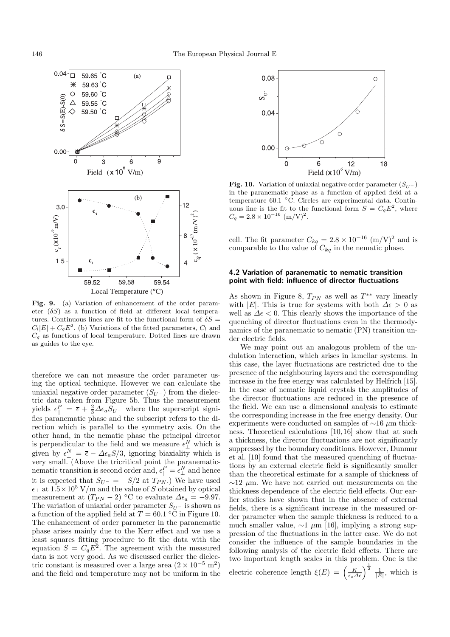

**Fig. 9.** (a) Variation of enhancement of the order parameter  $(\delta S)$  as a function of field at different local temperatures. Continuous lines are fit to the functional form of  $\delta S =$  $C_l|E| + C_qE^2$ . (b) Variations of the fitted parameters,  $C_l$  and  $C_q$  as functions of local temperature. Dotted lines are drawn as guides to the eye.

therefore we can not measure the order parameter using the optical technique. However we can calculate the uniaxial negative order parameter  $(S_{U}^-)$  from the dielectric data taken from Figure 5b. Thus the measurement yields  $\epsilon_{\parallel}^{P} = \overline{\epsilon} + \frac{2}{3} \Delta \epsilon_{a} S_{U^{-}}$  where the superscript signifies paranematic phase and the subscript refers to the direction which is parallel to the symmetry axis. On the other hand, in the nematic phase the principal director is perpendicular to the field and we measure  $\epsilon_{\perp}^N$  which is given by  $\epsilon_{\perp}^{N} = \overline{\epsilon} - \Delta \epsilon_a S/3$ , ignoring biaxiality which is very small. (Above the tricritical point the paranematicnematic transition is second order and,  $\epsilon_{\parallel}^P = \epsilon_{\perp}^N$  and hence it is expected that  $S_{U^-} = -S/2$  at  $T_{PN}$ .) We have used  $\epsilon_{\perp}$  at  $1.5 \times 10^5$  V/m and the value of S obtained by optical measurement at  $(T_{PN} - 2)$  °C to evaluate  $\Delta \epsilon_a = -9.97$ . The variation of uniaxial order parameter  $S_{U}$ - is shown as a function of the applied field at  $T = 60.1 \degree$ C in Figure 10. The enhancement of order parameter in the paranematic phase arises mainly due to the Kerr effect and we use a least squares fitting procedure to fit the data with the equation  $S = C_q E^2$ . The agreement with the measured data is not very good. As we discussed earlier the dielectric constant is measured over a large area  $(2 \times 10^{-5} \text{ m}^2)$ and the field and temperature may not be uniform in the



**Fig. 10.** Variation of uniaxial negative order parameter  $(S_{U-})$ in the paranematic phase as a function of applied field at a temperature 60.1 ◦C. Circles are experimental data. Continuous line is the fit to the functional form  $S = C_qE^2$ , where  $C_q = 2.8 \times 10^{-16}$  (m/V)<sup>2</sup>.

cell. The fit parameter  $C_{kq} = 2.8 \times 10^{-16}$  (m/V)<sup>2</sup> and is comparable to the value of  $C_{kq}$  in the nematic phase.

#### **4.2 Variation of paranematic to nematic transition point with field: influence of director fluctuations**

As shown in Figure 8,  $T_{PN}$  as well as  $T^{**}$  vary linearly with |E|. This is true for systems with both  $\Delta \epsilon > 0$  as well as  $\Delta \epsilon < 0$ . This clearly shows the importance of the quenching of director fluctuations even in the thermodynamics of the paranematic to nematic (PN) transition under electric fields.

We may point out an analogous problem of the undulation interaction, which arises in lamellar systems. In this case, the layer fluctuations are restricted due to the presence of the neighbouring layers and the corresponding increase in the free energy was calculated by Helfrich [15]. In the case of nematic liquid crystals the amplitudes of the director fluctuations are reduced in the presence of the field. We can use a dimensional analysis to estimate the corresponding increase in the free energy density. Our experiments were conducted on samples of  $\sim$ 16  $\mu$ m thickness. Theoretical calculations [10,16] show that at such a thickness, the director fluctuations are not significantly suppressed by the boundary conditions. However, Dunmur et al. [10] found that the measured quenching of fluctuations by an external electric field is significantly smaller than the theoretical estimate for a sample of thickness of  $\sim$ 12 µm. We have not carried out measurements on the thickness dependence of the electric field effects. Our earlier studies have shown that in the absence of external fields, there is a significant increase in the measured order parameter when the sample thickness is reduced to a much smaller value,  $\sim$ 1  $\mu$ m [16], implying a strong suppression of the fluctuations in the latter case. We do not consider the influence of the sample boundaries in the following analysis of the electric field effects. There are two important length scales in this problem. One is the

electric coherence length  $\xi(E) = \left(\frac{K}{\epsilon_o \Delta \epsilon}\right)^{\frac{1}{2}}$ 

$$
\frac{\zeta}{\Delta \epsilon}
$$
  $\frac{1}{|E|}$ , which is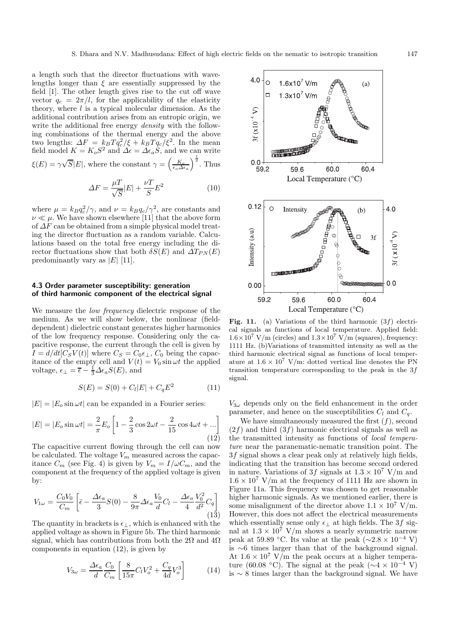a length such that the director fluctuations with wavelengths longer than  $\xi$  are essentially suppressed by the field [1]. The other length gives rise to the cut off wave vector  $q_c = 2\pi/l$ , for the applicability of the elasticity theory, where  $l$  is a typical molecular dimension. As the additional contribution arises from an entropic origin, we write the additional free energy *density* with the following combinations of the thermal energy and the above two lengths:  $\Delta F = k_B T q_c^2 / \xi + k_B T q_c / \xi^2$ . In the mean field model  $K = K_o S^2$  and  $\Delta \epsilon = \Delta \epsilon_a S$ , and we can write  $\xi(E) = \gamma \sqrt{S} |E|$ , where the constant  $\gamma = \left(\frac{K_o}{\epsilon_o \Delta \epsilon_a}\right)^{\frac{1}{2}}$ . Thus

$$
\Delta F = \frac{\mu T}{\sqrt{S}} |E| + \frac{\nu T}{S} E^2
$$
\n(10)

where  $\mu = k_B q_c^2 / \gamma$ , and  $\nu = k_B q_c / \gamma^2$ , are constants and  $\nu \ll \mu$ . We have shown elsewhere [11] that the above form of  $\Delta F$  can be obtained from a simple physical model treating the director fluctuation as a random variable. Calculations based on the total free energy including the director fluctuations show that both  $\delta S(E)$  and  $\Delta T_{PN}(E)$ predominantly vary as  $|E|$  [11].

#### **4.3 Order parameter susceptibility: generation of third harmonic component of the electrical signal**

We measure the *low frequency* dielectric response of the medium. As we will show below, the nonlinear (fielddependent) dielectric constant generates higher harmonics of the low frequency response. Considering only the capacitive response, the current through the cell is given by  $I = d/dt [C_S V(t)]$  where  $C_S = C_0 \epsilon_{\perp}$ ,  $C_0$  being the capacitance of the empty cell and  $V(t) = V_0 \sin \omega t$  the applied voltage,  $\epsilon_{\perp} = \overline{\epsilon} - \frac{1}{3} \Delta \epsilon_a S(E)$ , and

$$
S(E) = S(0) + C_l|E| + C_q E^2
$$
 (11)

 $|E| = |E_0 \sin \omega t|$  can be expanded in a Fourier series:

$$
|E| = |E_o \sin \omega t| = \frac{2}{\pi} E_o \left[ 1 - \frac{2}{3} \cos 2\omega t - \frac{2}{15} \cos 4\omega t + \dots \right]
$$
\n(12)

The capacitive current flowing through the cell can now be calculated. The voltage  $V_m$  measured across the capacitance  $C_m$  (see Fig. 4) is given by  $V_m = I/\omega C_m$ , and the component at the frequency of the applied voltage is given by:

$$
V_{1\omega} = \frac{C_0 V_0}{C_m} \left[ \bar{\epsilon} - \frac{\Delta \epsilon_a}{3} S(0) - \frac{8}{9\pi} \Delta \epsilon_a \frac{V_0}{d} C_l - \frac{\Delta \epsilon_a}{4} \frac{V_0^2}{d^2} C_q \right]
$$
(13)

The quantity in brackets is  $\epsilon_{\perp}$ , which is enhanced with the applied voltage as shown in Figure 5b. The third harmonic signal, which has contributions from both the  $2\Omega$  and  $4\Omega$ components in equation (12), is given by

$$
V_{3\omega} = \frac{\Delta \epsilon_a}{d} \frac{C_0}{C_m} \left[ \frac{8}{15\pi} C_l V_o^2 + \frac{C_q}{4d} V_o^3 \right]
$$
 (14)



Fig. 11. (a) Variations of the third harmonic  $(3f)$  electrical signals as functions of local temperature. Applied field:  $1.6\times10^7$  V/m (circles) and  $1.3\times10^7$  V/m (squares), frequency: 1111 Hz. (b)Variations of transmitted intensity as well as the third harmonic electrical signal as functions of local temperature at  $1.6 \times 10^7$  V/m: dotted vertical line denotes the PN transition temperature corresponding to the peak in the  $3f$ signal.

 $V_{3\omega}$  depends only on the field enhancement in the order parameter, and hence on the susceptibilities  $C_l$  and  $C_q$ .

We have simultaneously measured the first  $(f)$ , second  $(2f)$  and third  $(3f)$  harmonic electrical signals as well as the transmitted intensity as functions of *local temperature* near the paranematic-nematic transition point. The 3f signal shows a clear peak only at relatively high fields, indicating that the transition has become second ordered in nature. Variations of 3f signals at  $1.3 \times 10^7$  V/m and  $1.6 \times 10^7$  V/m at the frequency of 1111 Hz are shown in Figure 11a. This frequency was chosen to get reasonable higher harmonic signals. As we mentioned earlier, there is some misalignment of the director above  $1.1 \times 10^7$  V/m. However, this does not affect the electrical measurements which essentially sense only  $\epsilon_{\perp}$  at high fields. The 3f signal at  $1.3 \times 10^7$  V/m shows a nearly symmetric narrow peak at 59.89 °C. Its value at the peak ( $\sim$ 2.8 × 10<sup>-4</sup> V) is ∼6 times larger than that of the background signal. At  $1.6 \times 10^7$  V/m the peak occurs at a higher temperature (60.08 °C). The signal at the peak ( $\sim$ 4 × 10<sup>-4</sup> V) is ∼ 8 times larger than the background signal. We have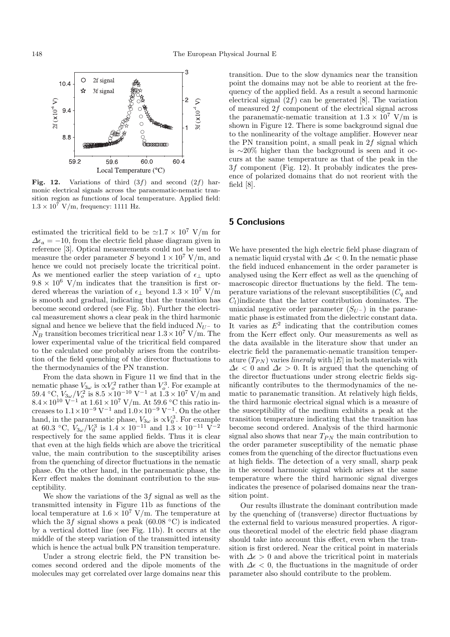

**Fig. 12.** Variations of third  $(3f)$  and second  $(2f)$  harmonic electrical signals across the paranematic-nematic transition region as functions of local temperature. Applied field:  $1.3 \times 10^7$  V/m, frequency: 1111 Hz.

estimated the tricritical field to be  $\approx 1.7 \times 10^7$  V/m for  $\Delta \epsilon_a = -10$ , from the electric field phase diagram given in reference [3]. Optical measurements could not be used to measure the order parameter  $S$  beyond  $1\times10^7$  V/m, and hence we could not precisely locate the tricritical point. As we mentioned earlier the steep variation of  $\epsilon_{\perp}$  upto  $9.8 \times 10^6$  V/m indicates that the transition is first ordered whereas the variation of  $\epsilon_{\perp}$  beyond  $1.3 \times 10^7$  V/m is smooth and gradual, indicating that the transition has become second ordered (see Fig. 5b). Further the electrical measurement shows a clear peak in the third harmonic signal and hence we believe that the field induced  $N_{U-}$  to  $N_B$  transition becomes tricritical near  $1.3 \times 10^7$  V/m. The lower experimental value of the tricritical field compared to the calculated one probably arises from the contribution of the field quenching of the director fluctuations to the thermodynamics of the PN transtion.

From the data shown in Figure 11 we find that in the nematic phase  $V_{3\omega}$  is  $\propto V_o^2$  rather than  $V_o^3$ . For example at  $59.4 \text{ °C}, V_{3\omega}/V_o^2$  is  $8.5 \times 10^{-10}$  V<sup>-1</sup> at  $1.3 \times 10^7$  V/m and  $8.4\times10^{10}$  V<sup>-1</sup> at  $1.61\times10^{7}$  V/m. At 59.6 °C this ratio increases to  $1.1 \times 10^{-9}$  V<sup>-1</sup> and  $1.0 \times 10^{-9}$  V<sup>-1</sup>. On the other hand, in the paranematic phase,  $V_{3\omega}$  is  $\propto V_0^3$ . For example at 60.3 °C,  $V_{3\omega}/V_0^3$  is  $1.4 \times 10^{-11}$  and  $1.3 \times 10^{-11}$  V<sup>-2</sup> respectively for the same applied fields. Thus it is clear that even at the high fields which are above the tricritical value, the main contribution to the susceptibility arises from the quenching of director fluctuations in the nematic phase. On the other hand, in the paranematic phase, the Kerr effect makes the dominant contribution to the susceptibility.

We show the variations of the  $3f$  signal as well as the transmitted intensity in Figure 11b as functions of the local temperature at  $1.6 \times 10^7$  V/m. The temperature at which the 3f signal shows a peak (60.08  $\degree$ C) is indicated by a vertical dotted line (see Fig. 11b). It occurs at the middle of the steep variation of the transmitted intensity which is hence the actual bulk PN transition temperature.

Under a strong electric field, the PN transition becomes second ordered and the dipole moments of the molecules may get correlated over large domains near this transition. Due to the slow dynamics near the transition point the domains may not be able to reorient at the frequency of the applied field. As a result a second harmonic electrical signal  $(2f)$  can be generated [8]. The variation of measured 2f component of the electrical signal across the paranematic-nematic transition at  $1.3 \times 10^7$  V/m is shown in Figure 12. There is some background signal due to the nonlinearity of the voltage amplifier. However near the PN transition point, a small peak in 2f signal which is ∼20% higher than the background is seen and it occurs at the same temperature as that of the peak in the 3f component (Fig. 12). It probably indicates the presence of polarized domains that do not reorient with the field [8].

# **5 Conclusions**

We have presented the high electric field phase diagram of a nematic liquid crystal with  $\Delta \epsilon < 0$ . In the nematic phase the field induced enhancement in the order parameter is analysed using the Kerr effect as well as the quenching of macroscopic director fluctuations by the field. The temperature variations of the relevant susceptibilities  $(C_q$  and  $C_l$ )indicate that the latter contribution dominates. The uniaxial negative order parameter  $(S_{U-})$  in the paranematic phase is estimated from the dielectric constant data. It varies as  $E^2$  indicating that the contribution comes from the Kerr effect only. Our measurements as well as the data available in the literature show that under an electric field the paranematic-nematic transition temperature  $(T_{PN})$  varies *lineraly* with  $|E|$  in both materials with  $\Delta \epsilon$  < 0 and  $\Delta \epsilon$  > 0. It is argued that the quenching of the director fluctuations under strong electric fields significantly contributes to the thermodynamics of the nematic to paranematic transition. At relatively high fields, the third harmonic electrical signal which is a measure of the susceptibility of the medium exhibits a peak at the transition temperature indicating that the transition has become second ordered. Analysis of the third harmonic signal also shows that near  $\mathcal{T}_{PN}$  the main contribution to the order parameter susceptibility of the nematic phase comes from the quenching of the director fluctuations even at high fields. The detection of a very small, sharp peak in the second harmonic signal which arises at the same temperature where the third harmonic signal diverges indicates the presence of polarised domains near the transition point.

Our results illustrate the dominant contribution made by the quenching of (transverse) director fluctuations by the external field to various measured properties. A rigorous theoretical model of the electric field phase diagram should take into account this effect, even when the transition is first ordered. Near the critical point in materials with  $\Delta \epsilon > 0$  and above the tricritical point in materials with  $\Delta \epsilon < 0$ , the fluctuations in the magnitude of order parameter also should contribute to the problem.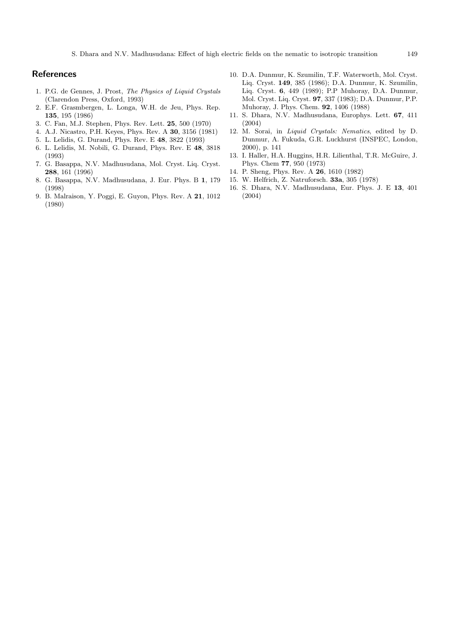S. Dhara and N.V. Madhusudana: Effect of high electric fields on the nematic to isotropic transition 149

## **References**

- 1. P.G. de Gennes, J. Prost, *The Physics of Liquid Crystals* (Clarendon Press, Oxford, 1993)
- 2. E.F. Grasmbergen, L. Longa, W.H. de Jeu, Phys. Rep. **135**, 195 (1986)
- 3. C. Fan, M.J. Stephen, Phys. Rev. Lett. **25**, 500 (1970)
- 4. A.J. Nicastro, P.H. Keyes, Phys. Rev. A **30**, 3156 (1981)
- 5. L. Lelidis, G. Durand, Phys. Rev. E **48**, 3822 (1993)
- 6. L. Lelidis, M. Nobili, G. Durand, Phys. Rev. E **48**, 3818 (1993)
- 7. G. Basappa, N.V. Madhusudana, Mol. Cryst. Liq. Cryst. **288**, 161 (1996)
- 8. G. Basappa, N.V. Madhusudana, J. Eur. Phys. B **1**, 179 (1998)
- 9. B. Malraison, Y. Poggi, E. Guyon, Phys. Rev. A **21**, 1012 (1980)
- 10. D.A. Dunmur, K. Szumilin, T.F. Waterworth, Mol. Cryst. Liq. Cryst. **149**, 385 (1986); D.A. Dunmur, K. Szumilin, Liq. Cryst. **6**, 449 (1989); P.P Muhoray, D.A. Dunmur, Mol. Cryst. Liq. Cryst. **97**, 337 (1983); D.A. Dunmur, P.P. Muhoray, J. Phys. Chem. **92**, 1406 (1988)
- 11. S. Dhara, N.V. Madhusudana, Europhys. Lett. **67**, 411 (2004)
- 12. M. Sorai, in *Liquid Crystals: Nematics*, edited by D. Dunmur, A. Fukuda, G.R. Luckhurst (INSPEC, London, 2000), p. 141
- 13. I. Haller, H.A. Huggins, H.R. Lilienthal, T.R. McGuire, J. Phys. Chem **77**, 950 (1973)
- 14. P. Sheng, Phys. Rev. A **26**, 1610 (1982)
- 15. W. Helfrich, Z. Natruforsch. **33a**, 305 (1978)
- 16. S. Dhara, N.V. Madhusudana, Eur. Phys. J. E **13**, 401 (2004)